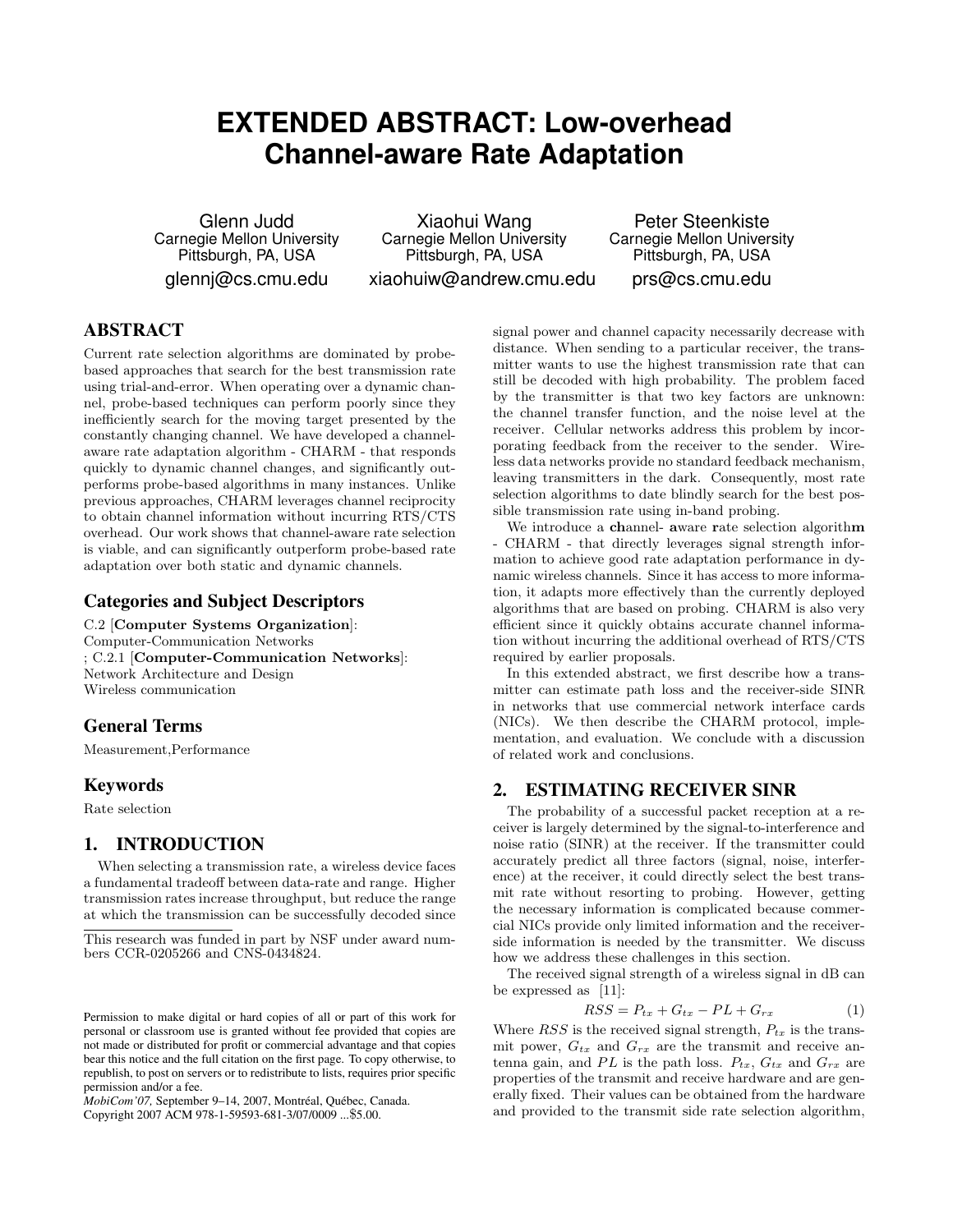# **EXTENDED ABSTRACT: Low-overhead Channel-aware Rate Adaptation**

Glenn Judd Carnegie Mellon University Pittsburgh, PA, USA glennj@cs.cmu.edu

Xiaohui Wang Carnegie Mellon University Pittsburgh, PA, USA xiaohuiw@andrew.cmu.edu

Peter Steenkiste Carnegie Mellon University Pittsburgh, PA, USA prs@cs.cmu.edu

# ABSTRACT

Current rate selection algorithms are dominated by probebased approaches that search for the best transmission rate using trial-and-error. When operating over a dynamic channel, probe-based techniques can perform poorly since they inefficiently search for the moving target presented by the constantly changing channel. We have developed a channelaware rate adaptation algorithm - CHARM - that responds quickly to dynamic channel changes, and significantly outperforms probe-based algorithms in many instances. Unlike previous approaches, CHARM leverages channel reciprocity to obtain channel information without incurring RTS/CTS overhead. Our work shows that channel-aware rate selection is viable, and can significantly outperform probe-based rate adaptation over both static and dynamic channels.

# Categories and Subject Descriptors

C.2 [Computer Systems Organization]: Computer-Communication Networks ; C.2.1 [Computer-Communication Networks]: Network Architecture and Design Wireless communication

# General Terms

Measurement,Performance

# Keywords

Rate selection

# 1. INTRODUCTION

When selecting a transmission rate, a wireless device faces a fundamental tradeoff between data-rate and range. Higher transmission rates increase throughput, but reduce the range at which the transmission can be successfully decoded since

*MobiCom'07, September 9-14, 2007, Montréal, Québec, Canada.* Copyright 2007 ACM 978-1-59593-681-3/07/0009 ...\$5.00.

signal power and channel capacity necessarily decrease with distance. When sending to a particular receiver, the transmitter wants to use the highest transmission rate that can still be decoded with high probability. The problem faced by the transmitter is that two key factors are unknown: the channel transfer function, and the noise level at the receiver. Cellular networks address this problem by incorporating feedback from the receiver to the sender. Wireless data networks provide no standard feedback mechanism, leaving transmitters in the dark. Consequently, most rate selection algorithms to date blindly search for the best possible transmission rate using in-band probing.

We introduce a channel- aware rate selection algorithm - CHARM - that directly leverages signal strength information to achieve good rate adaptation performance in dynamic wireless channels. Since it has access to more information, it adapts more effectively than the currently deployed algorithms that are based on probing. CHARM is also very efficient since it quickly obtains accurate channel information without incurring the additional overhead of RTS/CTS required by earlier proposals.

In this extended abstract, we first describe how a transmitter can estimate path loss and the receiver-side SINR in networks that use commercial network interface cards (NICs). We then describe the CHARM protocol, implementation, and evaluation. We conclude with a discussion of related work and conclusions.

## 2. ESTIMATING RECEIVER SINR

The probability of a successful packet reception at a receiver is largely determined by the signal-to-interference and noise ratio (SINR) at the receiver. If the transmitter could accurately predict all three factors (signal, noise, interference) at the receiver, it could directly select the best transmit rate without resorting to probing. However, getting the necessary information is complicated because commercial NICs provide only limited information and the receiverside information is needed by the transmitter. We discuss how we address these challenges in this section.

The received signal strength of a wireless signal in dB can be expressed as [11]:

$$
RSS = P_{tx} + G_{tx} - PL + G_{rx} \tag{1}
$$

Where  $RSS$  is the received signal strength,  $P_{tx}$  is the transmit power,  $G_{tx}$  and  $G_{rx}$  are the transmit and receive antenna gain, and PL is the path loss.  $P_{tx}$ ,  $G_{tx}$  and  $G_{rx}$  are properties of the transmit and receive hardware and are generally fixed. Their values can be obtained from the hardware and provided to the transmit side rate selection algorithm,

This research was funded in part by NSF under award numbers CCR-0205266 and CNS-0434824.

Permission to make digital or hard copies of all or part of this work for personal or classroom use is granted without fee provided that copies are not made or distributed for profit or commercial advantage and that copies bear this notice and the full citation on the first page. To copy otherwise, to republish, to post on servers or to redistribute to lists, requires prior specific permission and/or a fee.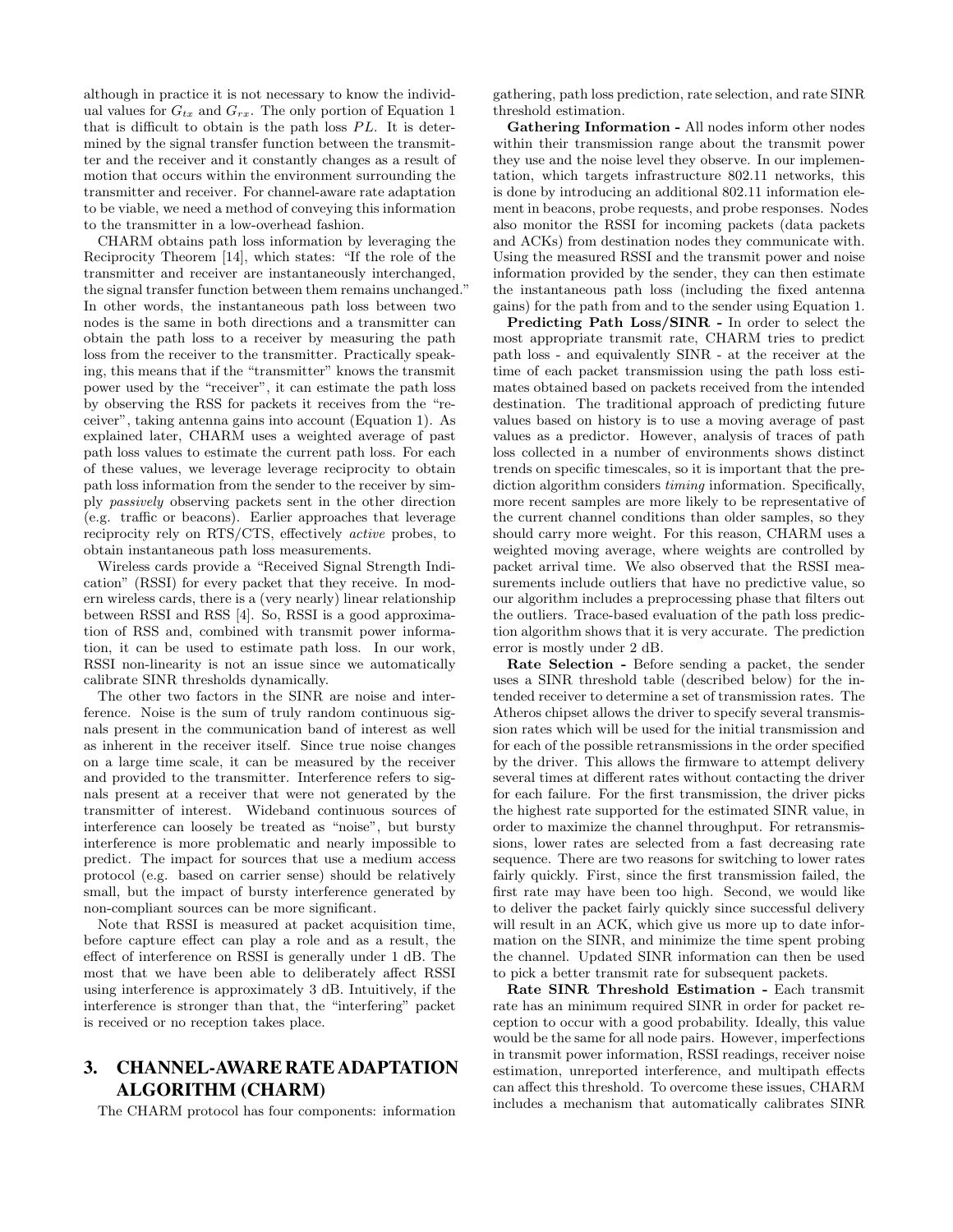although in practice it is not necessary to know the individual values for  $G_{tx}$  and  $G_{rx}$ . The only portion of Equation 1 that is difficult to obtain is the path loss  $PL$ . It is determined by the signal transfer function between the transmitter and the receiver and it constantly changes as a result of motion that occurs within the environment surrounding the transmitter and receiver. For channel-aware rate adaptation to be viable, we need a method of conveying this information to the transmitter in a low-overhead fashion.

CHARM obtains path loss information by leveraging the Reciprocity Theorem [14], which states: "If the role of the transmitter and receiver are instantaneously interchanged, the signal transfer function between them remains unchanged." In other words, the instantaneous path loss between two nodes is the same in both directions and a transmitter can obtain the path loss to a receiver by measuring the path loss from the receiver to the transmitter. Practically speaking, this means that if the "transmitter" knows the transmit power used by the "receiver", it can estimate the path loss by observing the RSS for packets it receives from the "receiver", taking antenna gains into account (Equation 1). As explained later, CHARM uses a weighted average of past path loss values to estimate the current path loss. For each of these values, we leverage leverage reciprocity to obtain path loss information from the sender to the receiver by simply passively observing packets sent in the other direction (e.g. traffic or beacons). Earlier approaches that leverage reciprocity rely on RTS/CTS, effectively active probes, to obtain instantaneous path loss measurements.

Wireless cards provide a "Received Signal Strength Indication" (RSSI) for every packet that they receive. In modern wireless cards, there is a (very nearly) linear relationship between RSSI and RSS [4]. So, RSSI is a good approximation of RSS and, combined with transmit power information, it can be used to estimate path loss. In our work, RSSI non-linearity is not an issue since we automatically calibrate SINR thresholds dynamically.

The other two factors in the SINR are noise and interference. Noise is the sum of truly random continuous signals present in the communication band of interest as well as inherent in the receiver itself. Since true noise changes on a large time scale, it can be measured by the receiver and provided to the transmitter. Interference refers to signals present at a receiver that were not generated by the transmitter of interest. Wideband continuous sources of interference can loosely be treated as "noise", but bursty interference is more problematic and nearly impossible to predict. The impact for sources that use a medium access protocol (e.g. based on carrier sense) should be relatively small, but the impact of bursty interference generated by non-compliant sources can be more significant.

Note that RSSI is measured at packet acquisition time, before capture effect can play a role and as a result, the effect of interference on RSSI is generally under 1 dB. The most that we have been able to deliberately affect RSSI using interference is approximately 3 dB. Intuitively, if the interference is stronger than that, the "interfering" packet is received or no reception takes place.

# 3. CHANNEL-AWARE RATE ADAPTATION ALGORITHM (CHARM)

The CHARM protocol has four components: information

gathering, path loss prediction, rate selection, and rate SINR threshold estimation.

Gathering Information - All nodes inform other nodes within their transmission range about the transmit power they use and the noise level they observe. In our implementation, which targets infrastructure 802.11 networks, this is done by introducing an additional 802.11 information element in beacons, probe requests, and probe responses. Nodes also monitor the RSSI for incoming packets (data packets and ACKs) from destination nodes they communicate with. Using the measured RSSI and the transmit power and noise information provided by the sender, they can then estimate the instantaneous path loss (including the fixed antenna gains) for the path from and to the sender using Equation 1.

Predicting Path Loss/SINR - In order to select the most appropriate transmit rate, CHARM tries to predict path loss - and equivalently SINR - at the receiver at the time of each packet transmission using the path loss estimates obtained based on packets received from the intended destination. The traditional approach of predicting future values based on history is to use a moving average of past values as a predictor. However, analysis of traces of path loss collected in a number of environments shows distinct trends on specific timescales, so it is important that the prediction algorithm considers *timing* information. Specifically, more recent samples are more likely to be representative of the current channel conditions than older samples, so they should carry more weight. For this reason, CHARM uses a weighted moving average, where weights are controlled by packet arrival time. We also observed that the RSSI measurements include outliers that have no predictive value, so our algorithm includes a preprocessing phase that filters out the outliers. Trace-based evaluation of the path loss prediction algorithm shows that it is very accurate. The prediction error is mostly under 2 dB.

Rate Selection - Before sending a packet, the sender uses a SINR threshold table (described below) for the intended receiver to determine a set of transmission rates. The Atheros chipset allows the driver to specify several transmission rates which will be used for the initial transmission and for each of the possible retransmissions in the order specified by the driver. This allows the firmware to attempt delivery several times at different rates without contacting the driver for each failure. For the first transmission, the driver picks the highest rate supported for the estimated SINR value, in order to maximize the channel throughput. For retransmissions, lower rates are selected from a fast decreasing rate sequence. There are two reasons for switching to lower rates fairly quickly. First, since the first transmission failed, the first rate may have been too high. Second, we would like to deliver the packet fairly quickly since successful delivery will result in an ACK, which give us more up to date information on the SINR, and minimize the time spent probing the channel. Updated SINR information can then be used to pick a better transmit rate for subsequent packets.

Rate SINR Threshold Estimation - Each transmit rate has an minimum required SINR in order for packet reception to occur with a good probability. Ideally, this value would be the same for all node pairs. However, imperfections in transmit power information, RSSI readings, receiver noise estimation, unreported interference, and multipath effects can affect this threshold. To overcome these issues, CHARM includes a mechanism that automatically calibrates SINR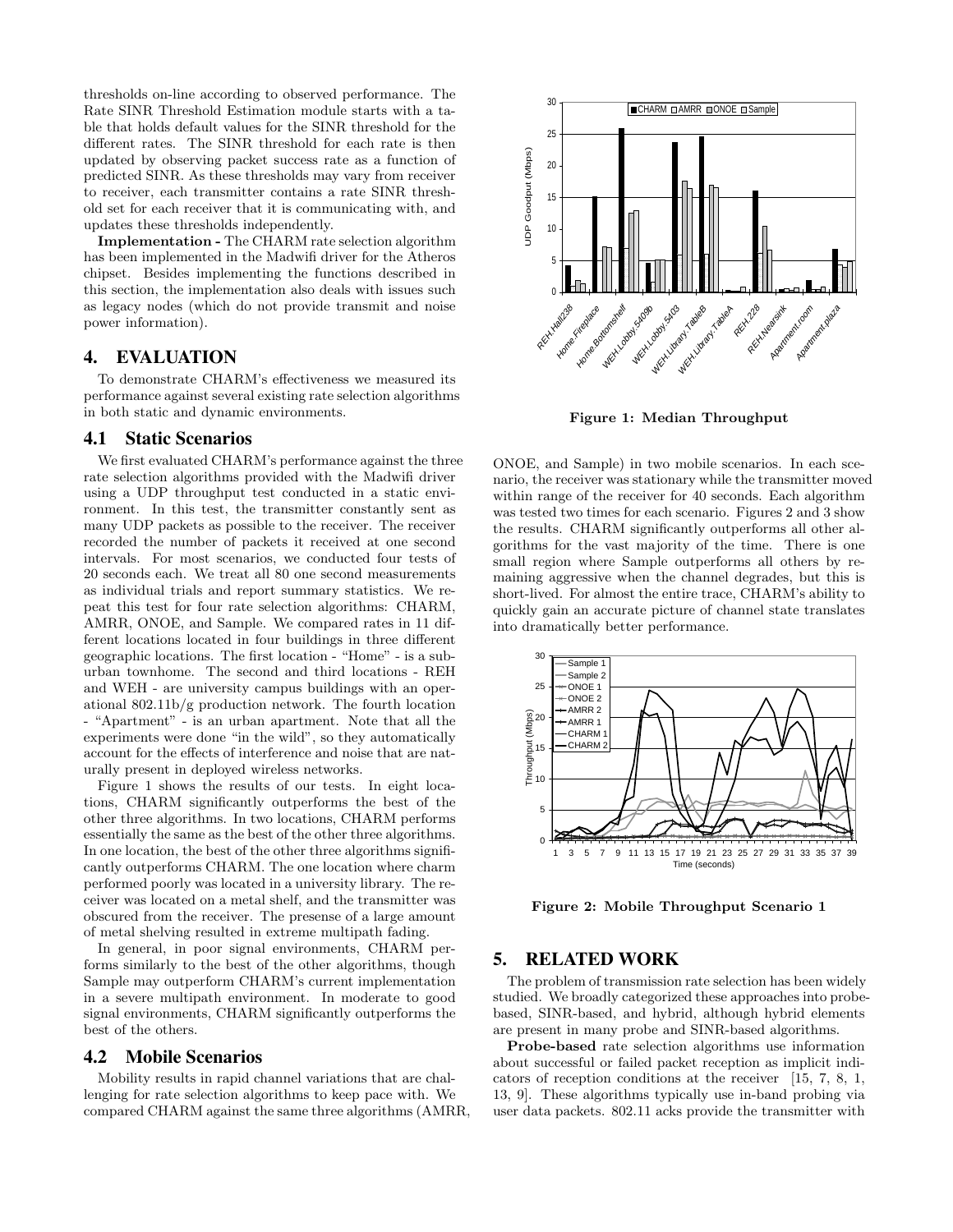thresholds on-line according to observed performance. The Rate SINR Threshold Estimation module starts with a table that holds default values for the SINR threshold for the different rates. The SINR threshold for each rate is then updated by observing packet success rate as a function of predicted SINR. As these thresholds may vary from receiver to receiver, each transmitter contains a rate SINR threshold set for each receiver that it is communicating with, and updates these thresholds independently.

Implementation - The CHARM rate selection algorithm has been implemented in the Madwifi driver for the Atheros chipset. Besides implementing the functions described in this section, the implementation also deals with issues such as legacy nodes (which do not provide transmit and noise power information).

# 4. EVALUATION

To demonstrate CHARM's effectiveness we measured its performance against several existing rate selection algorithms in both static and dynamic environments.

#### 4.1 Static Scenarios

We first evaluated CHARM's performance against the three rate selection algorithms provided with the Madwifi driver using a UDP throughput test conducted in a static environment. In this test, the transmitter constantly sent as many UDP packets as possible to the receiver. The receiver recorded the number of packets it received at one second intervals. For most scenarios, we conducted four tests of 20 seconds each. We treat all 80 one second measurements as individual trials and report summary statistics. We repeat this test for four rate selection algorithms: CHARM, AMRR, ONOE, and Sample. We compared rates in 11 different locations located in four buildings in three different geographic locations. The first location - "Home" - is a suburban townhome. The second and third locations - REH and WEH - are university campus buildings with an operational 802.11b/g production network. The fourth location - "Apartment" - is an urban apartment. Note that all the experiments were done "in the wild", so they automatically account for the effects of interference and noise that are naturally present in deployed wireless networks.

Figure 1 shows the results of our tests. In eight locations, CHARM significantly outperforms the best of the other three algorithms. In two locations, CHARM performs essentially the same as the best of the other three algorithms. In one location, the best of the other three algorithms significantly outperforms CHARM. The one location where charm performed poorly was located in a university library. The receiver was located on a metal shelf, and the transmitter was obscured from the receiver. The presense of a large amount of metal shelving resulted in extreme multipath fading.

In general, in poor signal environments, CHARM performs similarly to the best of the other algorithms, though Sample may outperform CHARM's current implementation in a severe multipath environment. In moderate to good signal environments, CHARM significantly outperforms the best of the others.

#### 4.2 Mobile Scenarios

Mobility results in rapid channel variations that are challenging for rate selection algorithms to keep pace with. We compared CHARM against the same three algorithms (AMRR,



Figure 1: Median Throughput

ONOE, and Sample) in two mobile scenarios. In each scenario, the receiver was stationary while the transmitter moved within range of the receiver for 40 seconds. Each algorithm was tested two times for each scenario. Figures 2 and 3 show the results. CHARM significantly outperforms all other algorithms for the vast majority of the time. There is one small region where Sample outperforms all others by remaining aggressive when the channel degrades, but this is short-lived. For almost the entire trace, CHARM's ability to quickly gain an accurate picture of channel state translates into dramatically better performance.



Figure 2: Mobile Throughput Scenario 1

# 5. RELATED WORK

The problem of transmission rate selection has been widely studied. We broadly categorized these approaches into probebased, SINR-based, and hybrid, although hybrid elements are present in many probe and SINR-based algorithms.

Probe-based rate selection algorithms use information about successful or failed packet reception as implicit indicators of reception conditions at the receiver [15, 7, 8, 1, 13, 9]. These algorithms typically use in-band probing via user data packets. 802.11 acks provide the transmitter with